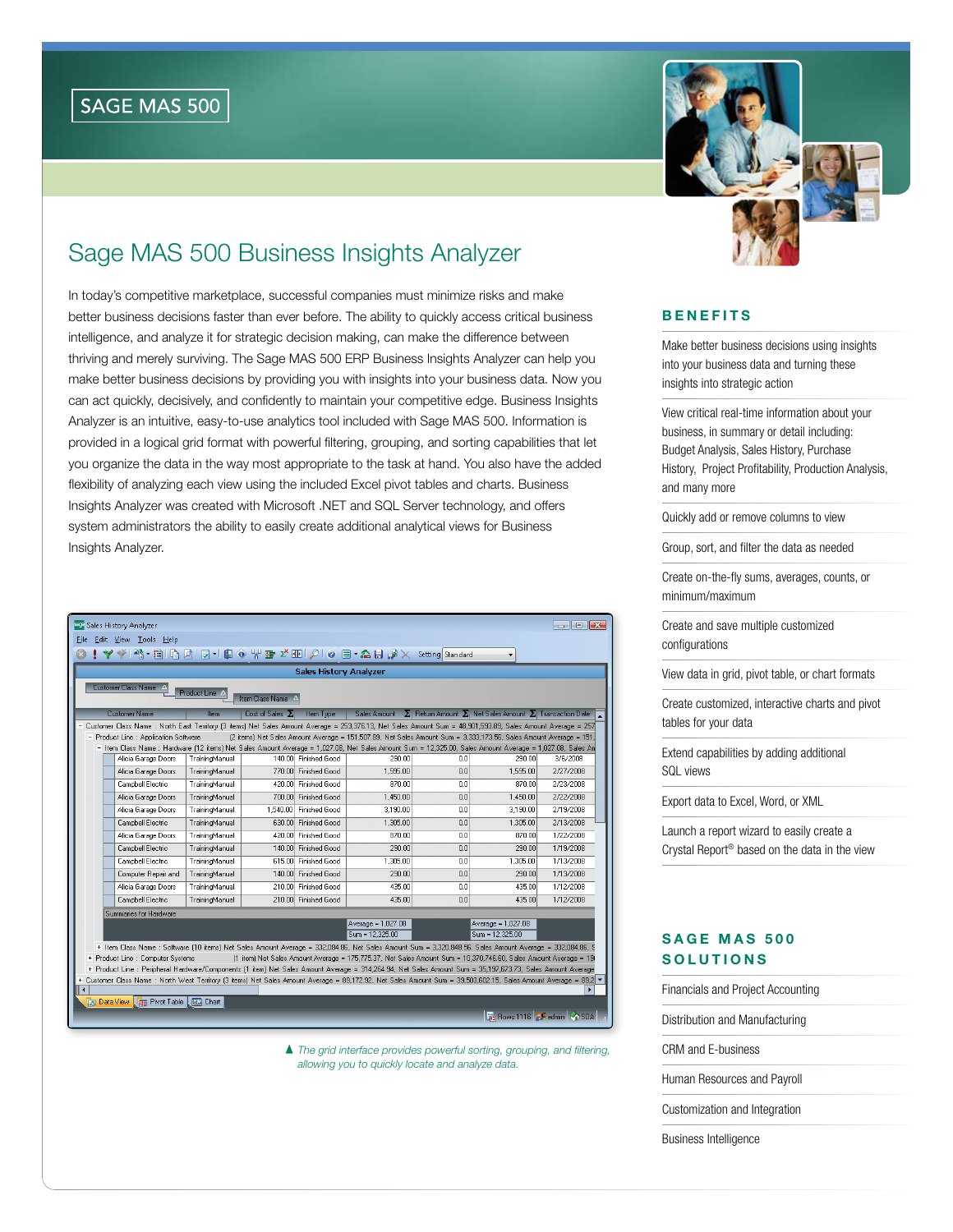# Sage MAS 500 Business Insights Analyzer

In today's competitive marketplace, successful companies must minimize risks and make better business decisions faster than ever before. The ability to quickly access critical business intelligence, and analyze it for strategic decision making, can make the difference between thriving and merely surviving. The Sage MAS 500 ERP Business Insights Analyzer can help you make better business decisions by providing you with insights into your business data. Now you can act quickly, decisively, and confidently to maintain your competitive edge. Business Insights Analyzer is an intuitive, easy-to-use analytics tool included with Sage MAS 500. Information is provided in a logical grid format with powerful filtering, grouping, and sorting capabilities that let you organize the data in the way most appropriate to the task at hand. You also have the added flexibility of analyzing each view using the included Excel pivot tables and charts. Business Insights Analyzer was created with Microsoft .NET and SQL Server technology, and offers system administrators the ability to easily create additional analytical views for Business Insights Analyzer.

| Sales History Analyzer<br>$\begin{array}{c c c c c c} \hline \multicolumn{3}{c }{\mathbf{C}} & \multicolumn{3}{c }{\mathbf{X}} \end{array}$ |                                                                                                                                                                                                                                                                                                                            |                                                                                                                                                                                              |                  |                        |                        |                    |     |                                                                                                                 |                                          |  |  |  |  |
|---------------------------------------------------------------------------------------------------------------------------------------------|----------------------------------------------------------------------------------------------------------------------------------------------------------------------------------------------------------------------------------------------------------------------------------------------------------------------------|----------------------------------------------------------------------------------------------------------------------------------------------------------------------------------------------|------------------|------------------------|------------------------|--------------------|-----|-----------------------------------------------------------------------------------------------------------------|------------------------------------------|--|--|--|--|
| File Edit View Tools Help                                                                                                                   |                                                                                                                                                                                                                                                                                                                            |                                                                                                                                                                                              |                  |                        |                        |                    |     |                                                                                                                 |                                          |  |  |  |  |
|                                                                                                                                             |                                                                                                                                                                                                                                                                                                                            | ❤│ºS - 我│G D│同 -│旧 ◈ Ѱ ☎ 〆 HD│♪│@ 目 • ▲ 日 ♪ ╳ Setting <mark>Standard</mark>                                                                                                                  |                  |                        |                        |                    |     |                                                                                                                 |                                          |  |  |  |  |
|                                                                                                                                             |                                                                                                                                                                                                                                                                                                                            | <b>Sales History Analyzer</b>                                                                                                                                                                |                  |                        |                        |                    |     |                                                                                                                 |                                          |  |  |  |  |
|                                                                                                                                             | Customer Class Name A<br>Product Line A<br>Item Class Name A                                                                                                                                                                                                                                                               |                                                                                                                                                                                              |                  |                        |                        |                    |     |                                                                                                                 |                                          |  |  |  |  |
|                                                                                                                                             |                                                                                                                                                                                                                                                                                                                            | <b>Customer Name</b>                                                                                                                                                                         | Item             | Cost of Sales $\Sigma$ | Item Type              |                    |     | Sales Amount $\Sigma$ Return Amount $\Sigma$ Net Sales Amount $\Sigma$ Transaction Date                         |                                          |  |  |  |  |
|                                                                                                                                             | Customer Class Name : North East Territory (3 items) Net Sales Amount Average = 253,376.13, Net Sales Amount Sum = 48,901,593.89, Sales Amount Average = 257<br>(2 items) Net Sales Amount Average = 151,507.89, Net Sales Amount Sum = 3,333,173,56, Sales Amount Average = 151,<br>- Product Line : Application Software |                                                                                                                                                                                              |                  |                        |                        |                    |     |                                                                                                                 |                                          |  |  |  |  |
|                                                                                                                                             |                                                                                                                                                                                                                                                                                                                            | - Item Class Name : Hardware (12 items) Net Sales Amount Average = 1,027.08, Net Sales Amount Sum = 12,325.00, Sales Amount Average = 1,027.08, Sales An                                     |                  |                        |                        |                    |     |                                                                                                                 |                                          |  |  |  |  |
|                                                                                                                                             |                                                                                                                                                                                                                                                                                                                            | Alicia Garage Doors                                                                                                                                                                          | TrainingManual   |                        | 140.00 Finished Good   | 290.00             | 0.0 | 290.00                                                                                                          | 3/6/2008                                 |  |  |  |  |
|                                                                                                                                             |                                                                                                                                                                                                                                                                                                                            | Alicia Garage Doors                                                                                                                                                                          | TrainingManual   |                        | 770.00 Finished Good   | 1,595.00           | 0.0 | 1,595.00                                                                                                        | 2/27/2008                                |  |  |  |  |
|                                                                                                                                             |                                                                                                                                                                                                                                                                                                                            | Campbell Electric                                                                                                                                                                            | TrainingManual   |                        | 420.00 Finished Good   | 870.00             | 0.0 | 870.00                                                                                                          | 2/23/2008                                |  |  |  |  |
|                                                                                                                                             |                                                                                                                                                                                                                                                                                                                            | Alicia Garage Doors                                                                                                                                                                          | TrainingManual   |                        | 700.00 Finished Good   | 1.450.00           | 0.0 | 1,450.00                                                                                                        | 2/22/2008                                |  |  |  |  |
|                                                                                                                                             |                                                                                                                                                                                                                                                                                                                            | Alicia Garage Doors                                                                                                                                                                          | TrainingManual   |                        | 1.540.00 Finished Good | 3.190.00           | 0.0 | 3.190.00                                                                                                        | 2/19/2008                                |  |  |  |  |
|                                                                                                                                             |                                                                                                                                                                                                                                                                                                                            | Campbell Electric                                                                                                                                                                            | TrainingManual   |                        | 630.00 Finished Good   | 1,305.00           | 0.0 | 1.305.00                                                                                                        | 2/13/2008                                |  |  |  |  |
|                                                                                                                                             |                                                                                                                                                                                                                                                                                                                            | Alicia Garage Doors                                                                                                                                                                          | TrainingManual   |                        | 420.00 Finished Good   | 870.00             | 0.0 | 870.00                                                                                                          | 1/22/2008                                |  |  |  |  |
|                                                                                                                                             |                                                                                                                                                                                                                                                                                                                            | Campbell Electric                                                                                                                                                                            | TrainingManual   |                        | 140.00 Finished Good   | 290.00             | 0.0 | 290.00                                                                                                          | 1/19/2008                                |  |  |  |  |
|                                                                                                                                             |                                                                                                                                                                                                                                                                                                                            | Campbell Electric                                                                                                                                                                            | TrainingManual   |                        | 615.00 Finished Good   | 1,305.00           | 0.0 | 1.305.00                                                                                                        | 1/13/2008                                |  |  |  |  |
|                                                                                                                                             |                                                                                                                                                                                                                                                                                                                            | Computer Repair and                                                                                                                                                                          | TrainingManual   |                        | 140.00 Finished Good   | 290.00             | 0.0 | 290.00                                                                                                          | 1/13/2008                                |  |  |  |  |
|                                                                                                                                             |                                                                                                                                                                                                                                                                                                                            | Alicia Garage Doors                                                                                                                                                                          | TrainingManual   |                        | 210.00 Finished Good   | 435.00             | 0.0 | 435.00                                                                                                          | 1/12/2008                                |  |  |  |  |
|                                                                                                                                             |                                                                                                                                                                                                                                                                                                                            | Campbell Electric                                                                                                                                                                            | TrainingManual   |                        | 210.00 Finished Good   | 435.00             | 0.0 | 435.00                                                                                                          | 1/12/2008                                |  |  |  |  |
|                                                                                                                                             |                                                                                                                                                                                                                                                                                                                            | Summaries for Hardware                                                                                                                                                                       |                  |                        |                        |                    |     |                                                                                                                 |                                          |  |  |  |  |
|                                                                                                                                             |                                                                                                                                                                                                                                                                                                                            |                                                                                                                                                                                              |                  |                        |                        | Average = 1,027.08 |     | Average = 1,027.08                                                                                              |                                          |  |  |  |  |
|                                                                                                                                             |                                                                                                                                                                                                                                                                                                                            |                                                                                                                                                                                              |                  |                        |                        | Sum = 12.325.00    |     | $Sum = 12.325.00$                                                                                               |                                          |  |  |  |  |
|                                                                                                                                             |                                                                                                                                                                                                                                                                                                                            | + Item Class Name : Software (10 items) Net Sales Amount Average = 332,084.86, Net Sales Amount Sum = 3,320,848.56, Sales Amount Average = 332,084.86, S<br>+ Product Line: Computer Systems |                  |                        |                        |                    |     | (1 item) Net Sales Amount Average = 175,775.37, Net Sales Amount Sum = 10,370,746.60, Sales Amount Average = 19 |                                          |  |  |  |  |
|                                                                                                                                             |                                                                                                                                                                                                                                                                                                                            | + Product Line : Peripheral Hardware/Components (1 item) Net Sales Amount Average = 314.264.94, Net Sales Amount Sum = 35.197.673.73, Sales Amount Average                                   |                  |                        |                        |                    |     |                                                                                                                 |                                          |  |  |  |  |
|                                                                                                                                             |                                                                                                                                                                                                                                                                                                                            | + Customer Class Name : North West Territory (3 items) Net Sales Amount Average = 89,172.92, Net Sales Amount Sum = 39,503,602.15, Sales Amount Average = 89,2 ▼                             |                  |                        |                        |                    |     |                                                                                                                 |                                          |  |  |  |  |
| ◀                                                                                                                                           |                                                                                                                                                                                                                                                                                                                            |                                                                                                                                                                                              |                  |                        |                        |                    |     |                                                                                                                 | ٠                                        |  |  |  |  |
|                                                                                                                                             | <b>Data View</b>                                                                                                                                                                                                                                                                                                           | <b>Pivot Table</b>                                                                                                                                                                           | <b>Rua</b> Chart |                        |                        |                    |     |                                                                                                                 |                                          |  |  |  |  |
|                                                                                                                                             |                                                                                                                                                                                                                                                                                                                            |                                                                                                                                                                                              |                  |                        |                        |                    |     |                                                                                                                 | <b>Fra</b> Rows:1116 <b>Padmin</b> 2 SDA |  |  |  |  |

*The grid interface provides powerful sorting, grouping, and filtering, allowing you to quickly locate and analyze data.*



# **BENEFITS**

Make better business decisions using insights into your business data and turning these insights into strategic action

View critical real-time information about your business, in summary or detail including: Budget Analysis, Sales History, Purchase History, Project Profitability, Production Analysis, and many more

Quickly add or remove columns to view

Group, sort, and filter the data as needed

Create on-the-fly sums, averages, counts, or minimum/maximum

Create and save multiple customized configurations

View data in grid, pivot table, or chart formats

Create customized, interactive charts and pivot tables for your data

Extend capabilities by adding additional SQL views

Export data to Excel, Word, or XML

Launch a report wizard to easily create a Crystal Report® based on the data in the view

# **SAGE MAS 500 SOLUTIONS**

Financials and Project Accounting

Distribution and Manufacturing

CRM and E-business

Human Resources and Payroll

Customization and Integration

Business Intelligence